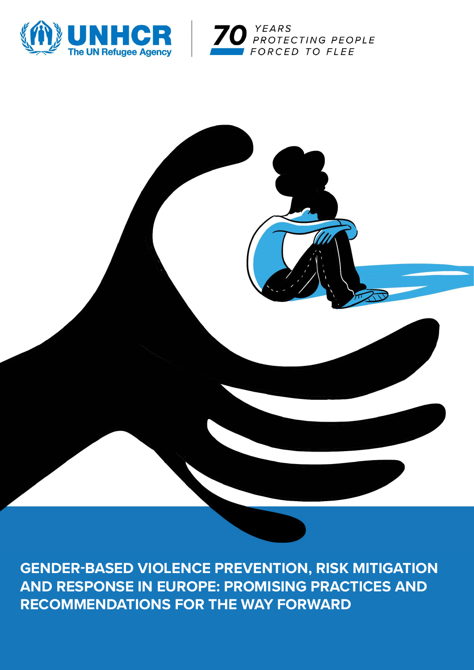





**GENDER-BASED VIOLENCE PREVENTION, RISK MITIGATION AND RESPONSE IN EUROPE: PROMISING PRACTICES AND RECOMMENDATIONS FOR THE WAY FORWARD**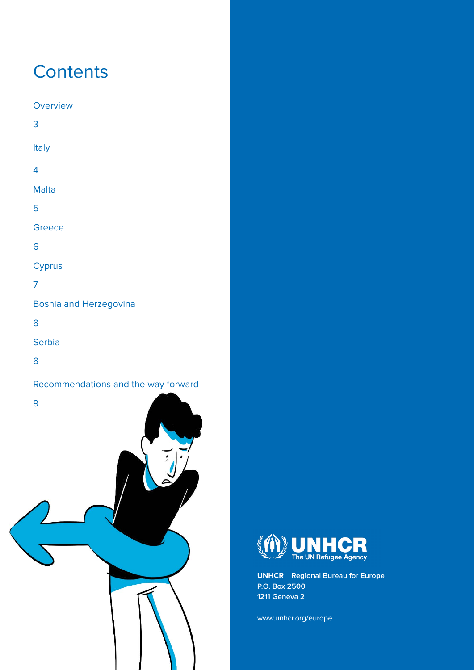# **Contents**

**[Overview](#page-2-0)** [3](#page-2-0) [It](#page-3-0)aly 4 Malt[a](#page-4-0) 5 **[Greece](#page-5-0)** [6](#page-5-0) **Cyprus** 7 Bosnia and Herzegovina 8 **[Serbia](#page-7-0)** 

GENDER-BASED VIOLENCE PREVENTION, RISK MITIGATION AND RESPONSE IN EUROPE

[8](#page-7-0)

[Recommendations and the way forward](#page-8-0) 





**UNHCR** | Regional Bureau for Europe **P.O. Box 2500 1211 Geneva 2**

[www.unhcr.org/europe](https://www.unhcr.org/europe.html)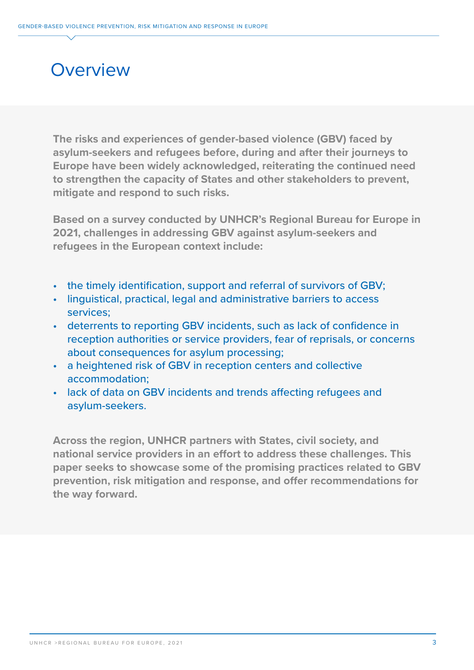#### <span id="page-2-0"></span>**Overview**

**The risks and experiences of gender-based violence (GBV) faced by asylum-seekers and refugees before, during and after their journeys to Europe have been widely acknowledged, reiterating the continued need to strengthen the capacity of States and other stakeholders to prevent, mitigate and respond to such risks.**

**Based on a survey conducted by UNHCR's Regional Bureau for Europe in 2021, challenges in addressing GBV against asylum-seekers and refugees in the European context include:**

- the timely identification, support and referral of survivors of GBV;
- linguistical, practical, legal and administrative barriers to access services;
- deterrents to reporting GBV incidents, such as lack of confidence in reception authorities or service providers, fear of reprisals, or concerns about consequences for asylum processing;
- a heightened risk of GBV in reception centers and collective accommodation;
- lack of data on GBV incidents and trends affecting refugees and asylum-seekers.

**Across the region, UNHCR partners with States, civil society, and national service providers in an effort to address these challenges. This paper seeks to showcase some of the promising practices related to GBV prevention, risk mitigation and response, and offer recommendations for the way forward.**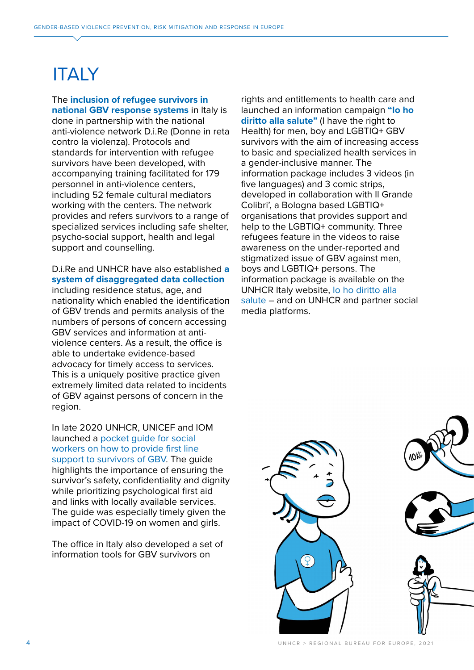# <span id="page-3-0"></span>**ITALY**

The **inclusion of refugee survivors in national GBV response systems** in Italy is done in partnership with the national anti-violence network D.i.Re (Donne in reta contro la violenza). Protocols and standards for intervention with refugee survivors have been developed, with accompanying training facilitated for 179 personnel in anti-violence centers, including 52 female cultural mediators working with the centers. The network provides and refers survivors to a range of specialized services including safe shelter, psycho-social support, health and legal support and counselling.

D.i.Re and UNHCR have also established **a system of disaggregated data collection**  including residence status, age, and nationality which enabled the identification of GBV trends and permits analysis of the numbers of persons of concern accessing GBV services and information at antiviolence centers. As a result, the office is able to undertake evidence-based advocacy for timely access to services. This is a uniquely positive practice given extremely limited data related to incidents of GBV against persons of concern in the region.

In late 2020 UNHCR, UNICEF and IOM launched a [pocket guide for social](https://www.unhcr.org/it/wp-content/uploads/sites/97/2020/11/GBV-Pocket-Guide.pdf)  [workers on how to provide first line](https://www.unhcr.org/it/wp-content/uploads/sites/97/2020/11/GBV-Pocket-Guide.pdf)  [support to survivors of GBV](https://www.unhcr.org/it/wp-content/uploads/sites/97/2020/11/GBV-Pocket-Guide.pdf). The guide highlights the importance of ensuring the survivor's safety, confidentiality and dignity while prioritizing psychological first aid and links with locally available services. The guide was especially timely given the impact of COVID-19 on women and girls.

The office in Italy also developed a set of information tools for GBV survivors on

rights and entitlements to health care and launched an information campaign **"Io ho diritto alla salute"** (I have the right to Health) for men, boy and LGBTIQ+ GBV survivors with the aim of increasing access to basic and specialized health services in a gender-inclusive manner. The information package includes 3 videos (in five languages) and 3 comic strips, developed in collaboration with Il Grande Colibri', a Bologna based LGBTIQ+ organisations that provides support and help to the LGBTIQ+ community. Three refugees feature in the videos to raise awareness on the under-reported and stigmatized issue of GBV against men, boys and LGBTIQ+ persons. The information package is available on the UNHCR Italy website, [Io ho diritto alla](https://www.unhcr.org/it/cosa-facciamo/protezione/esigenze-particolari/violenza-di-genere/violenza-di-genere-contro-uomini-e-ragazzi/)  [salute](https://www.unhcr.org/it/cosa-facciamo/protezione/esigenze-particolari/violenza-di-genere/violenza-di-genere-contro-uomini-e-ragazzi/) – and on UNHCR and partner social media platforms.

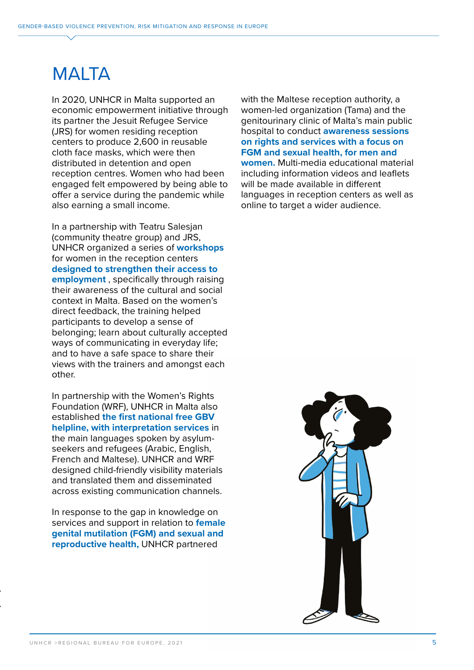## <span id="page-4-0"></span>MALTA

In 2020, UNHCR in Malta supported an economic empowerment initiative through its partner the Jesuit Refugee Service (JRS) for women residing reception centers to produce 2,600 in reusable cloth face masks, which were then distributed in detention and open reception centres. Women who had been engaged felt empowered by being able to offer a service during the pandemic while also earning a small income.

In a partnership with Teatru Salesjan (community theatre group) and JRS, UNHCR organized a series of **workshops** for women in the reception centers **designed to strengthen their access to employment** , specifically through raising their awareness of the cultural and social context in Malta. Based on the women's direct feedback, the training helped participants to develop a sense of belonging; learn about culturally accepted ways of communicating in everyday life; and to have a safe space to share their views with the trainers and amongst each other.

In partnership with the Women's Rights Foundation (WRF), UNHCR in Malta also established **the first national free GBV helpline, with interpretation services** in the main languages spoken by asylumseekers and refugees (Arabic, English, French and Maltese). UNHCR and WRF designed child-friendly visibility materials and translated them and disseminated across existing communication channels.

In response to the gap in knowledge on services and support in relation to **female genital mutilation (FGM) and sexual and reproductive health,** UNHCR partnered

with the Maltese reception authority, a women-led organization (Tama) and the genitourinary clinic of Malta's main public hospital to conduct **awareness sessions on rights and services with a focus on FGM and sexual health, for men and women.** Multi-media educational material including information videos and leaflets will be made available in different languages in reception centers as well as online to target a wider audience.

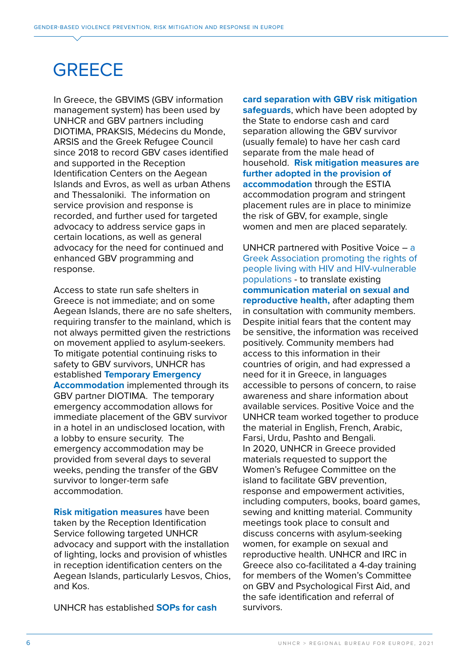# <span id="page-5-0"></span>**GREECE**

In Greece, the GBVIMS (GBV information management system) has been used by UNHCR and GBV partners including DIOTIMA, PRAKSIS, Médecins du Monde, ARSIS and the Greek Refugee Council since 2018 to record GBV cases identified and supported in the Reception Identification Centers on the Aegean Islands and Evros, as well as urban Athens and Thessaloniki. The information on service provision and response is recorded, and further used for targeted advocacy to address service gaps in certain locations, as well as general advocacy for the need for continued and enhanced GBV programming and response.

Access to state run safe shelters in Greece is not immediate; and on some Aegean Islands, there are no safe shelters, requiring transfer to the mainland, which is not always permitted given the restrictions on movement applied to asylum-seekers. To mitigate potential continuing risks to safety to GBV survivors, UNHCR has established **Temporary Emergency Accommodation** implemented through its GBV partner DIOTIMA. The temporary emergency accommodation allows for immediate placement of the GBV survivor in a hotel in an undisclosed location, with a lobby to ensure security. The emergency accommodation may be provided from several days to several weeks, pending the transfer of the GBV survivor to longer-term safe accommodation.

**Risk mitigation measures** have been taken by the Reception Identification Service following targeted UNHCR advocacy and support with the installation of lighting, locks and provision of whistles in reception identification centers on the Aegean Islands, particularly Lesvos, Chios, and Kos.

UNHCR has established **SOPs for cash** 

**card separation with GBV risk mitigation safeguards**, which have been adopted by the State to endorse cash and card separation allowing the GBV survivor (usually female) to have her cash card separate from the male head of household. **Risk mitigation measures are further adopted in the provision of accommodation** through the ESTIA accommodation program and stringent placement rules are in place to minimize the risk of GBV, for example, single women and men are placed separately.

UNHCR partnered with Positive Voice  $-$  a [Greek Association promoting the rights of](https://positivevoice.gr/)  [people living with HIV and HIV-vulnerable](https://positivevoice.gr/)  [populations](https://positivevoice.gr/) - to translate existing **communication material on sexual and reproductive health,** after adapting them in consultation with community members. Despite initial fears that the content may be sensitive, the information was received positively. Community members had access to this information in their countries of origin, and had expressed a need for it in Greece, in languages accessible to persons of concern, to raise awareness and share information about available services. Positive Voice and the UNHCR team worked together to produce the material in English, French, Arabic, Farsi, Urdu, Pashto and Bengali. In 2020, UNHCR in Greece provided materials requested to support the Women's Refugee Committee on the island to facilitate GBV prevention, response and empowerment activities, including computers, books, board games, sewing and knitting material. Community meetings took place to consult and discuss concerns with asylum-seeking women, for example on sexual and reproductive health. UNHCR and IRC in Greece also co-facilitated a 4-day training for members of the Women's Committee on GBV and Psychological First Aid, and the safe identification and referral of survivors.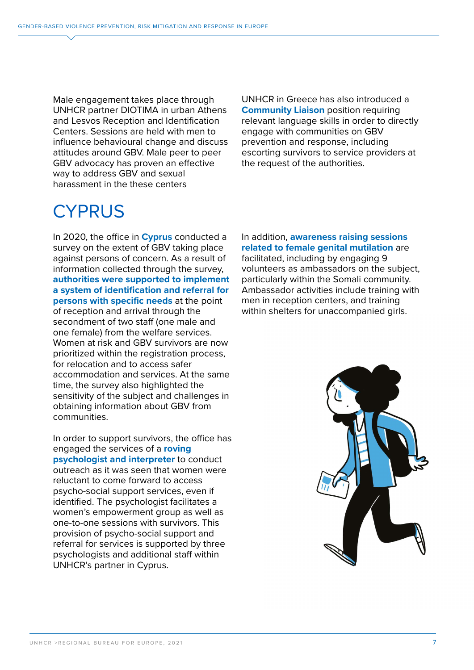Male engagement takes place through UNHCR partner DIOTIMA in urban Athens and Lesvos Reception and Identification Centers. Sessions are held with men to influence behavioural change and discuss attitudes around GBV. Male peer to peer GBV advocacy has proven an effective way to address GBV and sexual harassment in the these centers

UNHCR in Greece has also introduced a **Community Liaison** position requiring relevant language skills in order to directly engage with communities on GBV prevention and response, including escorting survivors to service providers at the request of the authorities.

### **CYPRUS**

In 2020, the office in **Cyprus** conducted a survey on the extent of GBV taking place against persons of concern. As a result of information collected through the survey, **authorities were supported to implement a system of identification and referral for persons with specific needs** at the point of reception and arrival through the secondment of two staff (one male and one female) from the welfare services. Women at risk and GBV survivors are now prioritized within the registration process, for relocation and to access safer accommodation and services. At the same time, the survey also highlighted the sensitivity of the subject and challenges in obtaining information about GBV from communities.

In order to support survivors, the office has engaged the services of a **roving psychologist and interpreter** to conduct outreach as it was seen that women were reluctant to come forward to access psycho-social support services, even if identified. The psychologist facilitates a women's empowerment group as well as one-to-one sessions with survivors. This provision of psycho-social support and referral for services is supported by three psychologists and additional staff within UNHCR's partner in Cyprus.

In addition, **awareness raising sessions related to female genital mutilation** are facilitated, including by engaging 9 volunteers as ambassadors on the subject, particularly within the Somali community. Ambassador activities include training with men in reception centers, and training within shelters for unaccompanied girls.

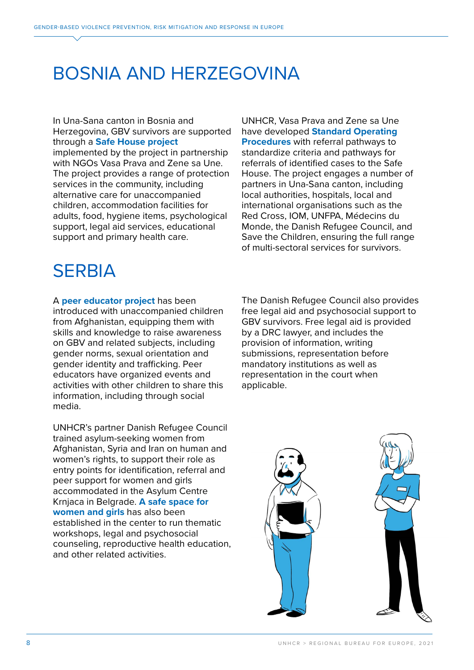### <span id="page-7-0"></span>BOSNIA AND HERZEGOVINA

In Una-Sana canton in Bosnia and Herzegovina, GBV survivors are supported through a **Safe House project**  implemented by the project in partnership with NGOs Vasa Prava and Zene sa Une. The project provides a range of protection services in the community, including alternative care for unaccompanied children, accommodation facilities for adults, food, hygiene items, psychological support, legal aid services, educational support and primary health care.

UNHCR, Vasa Prava and Zene sa Une have developed **Standard Operating Procedures** with referral pathways to standardize criteria and pathways for referrals of identified cases to the Safe House. The project engages a number of partners in Una-Sana canton, including local authorities, hospitals, local and international organisations such as the Red Cross, IOM, UNFPA, Médecins du Monde, the Danish Refugee Council, and Save the Children, ensuring the full range of multi-sectoral services for survivors.

# **SERBIA**

A **peer educator project** has been introduced with unaccompanied children from Afghanistan, equipping them with skills and knowledge to raise awareness on GBV and related subjects, including gender norms, sexual orientation and gender identity and trafficking. Peer educators have organized events and activities with other children to share this information, including through social media.

UNHCR's partner Danish Refugee Council trained asylum-seeking women from Afghanistan, Syria and Iran on human and women's rights, to support their role as entry points for identification, referral and peer support for women and girls accommodated in the Asylum Centre Krnjaca in Belgrade. **A safe space for women and girls** has also been established in the center to run thematic workshops, legal and psychosocial counseling, reproductive health education, and other related activities.

The Danish Refugee Council also provides free legal aid and psychosocial support to GBV survivors. Free legal aid is provided by a DRC lawyer, and includes the provision of information, writing submissions, representation before mandatory institutions as well as representation in the court when applicable.